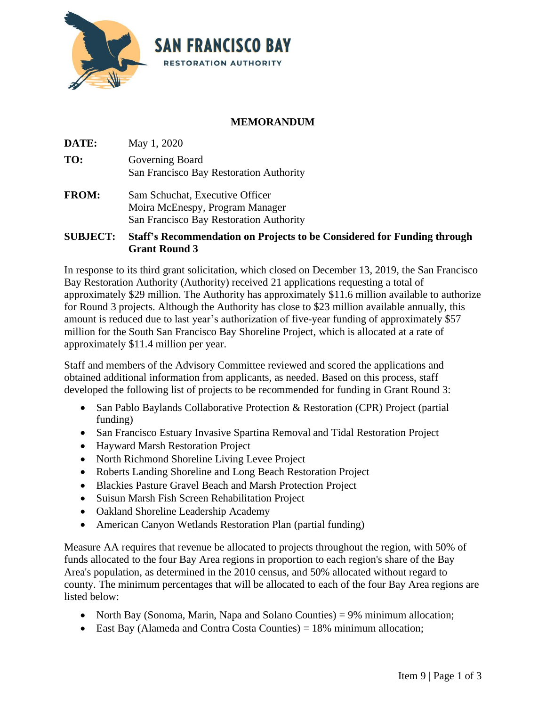

## **MEMORANDUM**

**DATE:** May 1, 2020

**TO:** Governing Board San Francisco Bay Restoration Authority

**FROM:** Sam Schuchat, Executive Officer Moira McEnespy, Program Manager San Francisco Bay Restoration Authority

## **SUBJECT: Staff's Recommendation on Projects to be Considered for Funding through Grant Round 3**

In response to its third grant solicitation, which closed on December 13, 2019, the San Francisco Bay Restoration Authority (Authority) received 21 applications requesting a total of approximately \$29 million. The Authority has approximately \$11.6 million available to authorize for Round 3 projects. Although the Authority has close to \$23 million available annually, this amount is reduced due to last year's authorization of five-year funding of approximately \$57 million for the South San Francisco Bay Shoreline Project, which is allocated at a rate of approximately \$11.4 million per year.

Staff and members of the Advisory Committee reviewed and scored the applications and obtained additional information from applicants, as needed. Based on this process, staff developed the following list of projects to be recommended for funding in Grant Round 3:

- San Pablo Baylands Collaborative Protection & Restoration (CPR) Project (partial funding)
- San Francisco Estuary Invasive Spartina Removal and Tidal Restoration Project
- Hayward Marsh Restoration Project
- North Richmond Shoreline Living Levee Project
- Roberts Landing Shoreline and Long Beach Restoration Project
- Blackies Pasture Gravel Beach and Marsh Protection Project
- Suisun Marsh Fish Screen Rehabilitation Project
- Oakland Shoreline Leadership Academy
- American Canyon Wetlands Restoration Plan (partial funding)

Measure AA requires that revenue be allocated to projects throughout the region, with 50% of funds allocated to the four Bay Area regions in proportion to each region's share of the Bay Area's population, as determined in the 2010 census, and 50% allocated without regard to county. The minimum percentages that will be allocated to each of the four Bay Area regions are listed below:

- North Bay (Sonoma, Marin, Napa and Solano Counties) = 9% minimum allocation;
- East Bay (Alameda and Contra Costa Counties) =  $18\%$  minimum allocation;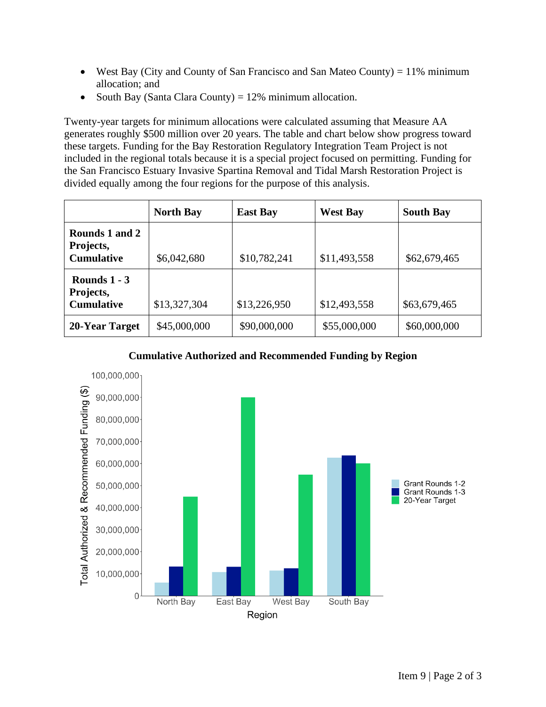- West Bay (City and County of San Francisco and San Mateo County) =  $11\%$  minimum allocation; and
- South Bay (Santa Clara County) =  $12\%$  minimum allocation.

Twenty-year targets for minimum allocations were calculated assuming that Measure AA generates roughly \$500 million over 20 years. The table and chart below show progress toward these targets. Funding for the Bay Restoration Regulatory Integration Team Project is not included in the regional totals because it is a special project focused on permitting. Funding for the San Francisco Estuary Invasive Spartina Removal and Tidal Marsh Restoration Project is divided equally among the four regions for the purpose of this analysis.

|                                                  | <b>North Bay</b> | <b>East Bay</b> | <b>West Bay</b> | <b>South Bay</b> |
|--------------------------------------------------|------------------|-----------------|-----------------|------------------|
| Rounds 1 and 2<br>Projects,<br><b>Cumulative</b> | \$6,042,680      | \$10,782,241    | \$11,493,558    | \$62,679,465     |
| Rounds $1 - 3$<br>Projects,<br><b>Cumulative</b> | \$13,327,304     | \$13,226,950    | \$12,493,558    | \$63,679,465     |
| 20-Year Target                                   | \$45,000,000     | \$90,000,000    | \$55,000,000    | \$60,000,000     |